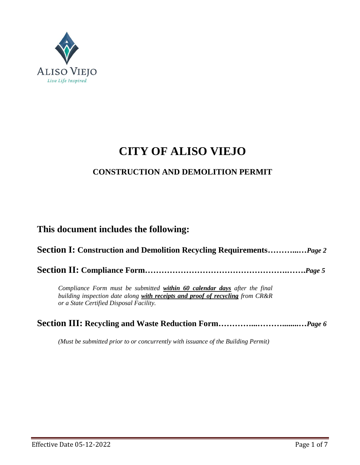

# **CITY OF ALISO VIEJO**

### **CONSTRUCTION AND DEMOLITION PERMIT**

### **This document includes the following:**

**Section I: Construction and Demolition Recycling Requirements………...…***Page 2*

**Section II: Compliance Form…………………………………………….…….***Page 5*

*Compliance Form must be submitted within 60 calendar days after the final building inspection date along with receipts and proof of recycling from CR&R or a State Certified Disposal Facility.* 

|--|--|

*(Must be submitted prior to or concurrently with issuance of the Building Permit)*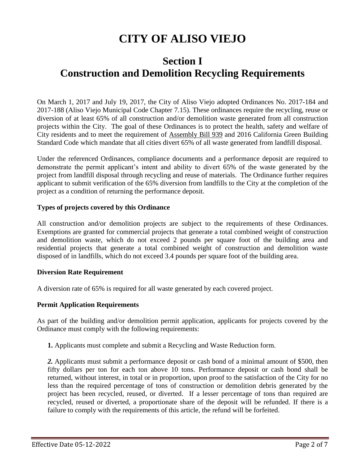# **CITY OF ALISO VIEJO**

## **Section I Construction and Demolition Recycling Requirements**

On March 1, 2017 and July 19, 2017, the City of Aliso Viejo adopted Ordinances No. 2017-184 and 2017-188 (Aliso Viejo Municipal Code Chapter 7.15). These ordinances require the recycling, reuse or diversion of at least 65% of all construction and/or demolition waste generated from all construction projects within the City. The goal of these Ordinances is to protect the health, safety and welfare of City residents and to meet the requirement of Assembly Bill 939 and 2016 California Green Building Standard Code which mandate that all cities divert 65% of all waste generated from landfill disposal.

Under the referenced Ordinances, compliance documents and a performance deposit are required to demonstrate the permit applicant's intent and ability to divert 65% of the waste generated by the project from landfill disposal through recycling and reuse of materials. The Ordinance further requires applicant to submit verification of the 65% diversion from landfills to the City at the completion of the project as a condition of returning the performance deposit.

#### **Types of projects covered by this Ordinance**

All construction and/or demolition projects are subject to the requirements of these Ordinances. Exemptions are granted for commercial projects that generate a total combined weight of construction and demolition waste, which do not exceed 2 pounds per square foot of the building area and residential projects that generate a total combined weight of construction and demolition waste disposed of in landfills, which do not exceed 3.4 pounds per square foot of the building area.

#### **Diversion Rate Requirement**

A diversion rate of 65% is required for all waste generated by each covered project.

#### **Permit Application Requirements**

As part of the building and/or demolition permit application, applicants for projects covered by the Ordinance must comply with the following requirements:

**1.** Applicants must complete and submit a Recycling and Waste Reduction form.

*2.* Applicants must submit a performance deposit or cash bond of a minimal amount of \$500, then fifty dollars per ton for each ton above 10 tons. Performance deposit or cash bond shall be returned, without interest, in total or in proportion, upon proof to the satisfaction of the City for no less than the required percentage of tons of construction or demolition debris generated by the project has been recycled, reused, or diverted. If a lesser percentage of tons than required are recycled, reused or diverted, a proportionate share of the deposit will be refunded. If there is a failure to comply with the requirements of this article, the refund will be forfeited.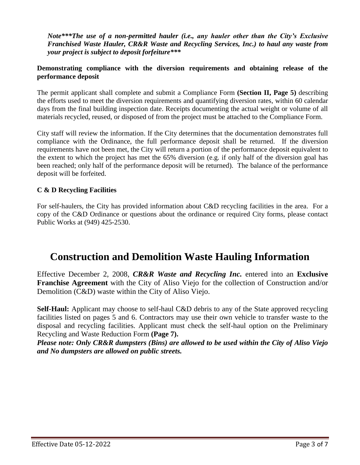*Note\*\*\*The use of a non-permitted hauler (i.e., any hauler other than the City's Exclusive Franchised Waste Hauler, CR&R Waste and Recycling Services, Inc.) to haul any waste from your project is subject to deposit forfeiture\*\*\**

### **Demonstrating compliance with the diversion requirements and obtaining release of the performance deposit**

The permit applicant shall complete and submit a Compliance Form **(Section II, Page 5)** describing the efforts used to meet the diversion requirements and quantifying diversion rates, within 60 calendar days from the final building inspection date. Receipts documenting the actual weight or volume of all materials recycled, reused, or disposed of from the project must be attached to the Compliance Form.

City staff will review the information. If the City determines that the documentation demonstrates full compliance with the Ordinance, the full performance deposit shall be returned. If the diversion requirements have not been met, the City will return a portion of the performance deposit equivalent to the extent to which the project has met the 65% diversion (e.g. if only half of the diversion goal has been reached; only half of the performance deposit will be returned). The balance of the performance deposit will be forfeited.

### **C & D Recycling Facilities**

For self-haulers, the City has provided information about C&D recycling facilities in the area. For a copy of the C&D Ordinance or questions about the ordinance or required City forms, please contact Public Works at (949) 425-2530.

## **Construction and Demolition Waste Hauling Information**

Effective December 2, 2008, *CR&R Waste and Recycling Inc.* entered into an **Exclusive Franchise Agreement** with the City of Aliso Viejo for the collection of Construction and/or Demolition (C&D) waste within the City of Aliso Viejo.

**Self-Haul:** Applicant may choose to self-haul C&D debris to any of the State approved recycling facilities listed on pages 5 and 6. Contractors may use their own vehicle to transfer waste to the disposal and recycling facilities. Applicant must check the self-haul option on the Preliminary Recycling and Waste Reduction Form **(Page 7).**

*Please note: Only CR&R dumpsters (Bins) are allowed to be used within the City of Aliso Viejo and No dumpsters are allowed on public streets.*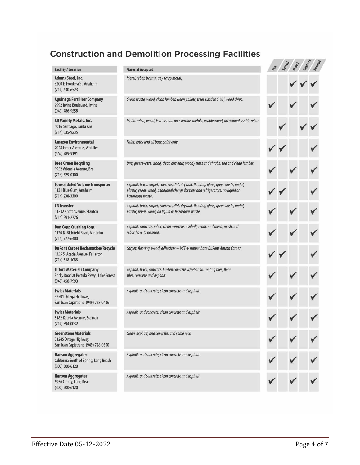### **Construction and Demolition Processing Facilities**

#### **Facility / Location**

Adams Steel, Inc. 3200 E. Frontera St. Anaheim  $(714)$  630-6523

Aguinaga Fertilizer Company 7992 Irvine Boulevard, Irvine (949) 786-9558

All Variety Metals, Inc. 1016 Santiago, Santa Ana (714) 835-9235

**Amazon Environmental** 7048 Elmer A venue, Whittier (562) 789-9191

**Brea Green Recycling** 1952 Valencia Avenue, Bre (714) 529-0100

**Consolidated Volume Transporter** 1131 Blue Gum, Anaheim (714) 238-3300

**CR Transfer** 11232 Knott Avenue, Stanton  $(714) 891 - 2776$ 

**Dan Copp Crushing Corp.** 1120 N. Richfield Road, Anaheim (714) 777-6400

**DuPont Carpet Reclamation/Recycle** 1355 S. Acacia Avenue, Fullerton  $(714) 518 - 1088$ 

**El Toro Materials Company** Rocky Road at Portola Pkwy., Lake Forest (949) 458-7993

**Ewles Materials** 32501 Ortega Highway, San Juan Capistrano (949) 728-0436

**Ewles Materials** 8182 Katella Avenue, Stanton (714) 894-0032

**Greenstone Materials** 31245 Ortega Highway, San Juan Capistrano (949) 728-0500

**Hanson Aggregates** California South of Spring, Long Beach (800) 300-6120

**Hanson Aggregates** 6956 Cherry, Long Beac (800) 300-6120

#### **Material Accepted**

Metal, rebar, beams, any scrap metal.

Green waste, wood, clean lumber, clean pallets, trees sized to 5 'x3', wood chips.

Metal, rebar, wood, Ferrous and non-ferrous metals, usable wood, occasional usable rebar.

Paint, latex and oil base paint only.

Dirt, greenwaste, wood, clean dirt only, woody trees and shrubs, sod and clean lumber.

Asphalt, brick, carpet, concrete, dirt, drywall, flooring, glass, greenwaste, metal, plastic, rebar, wood, additional charge for tires and refrigerators, no liquid or hazardous waste.

Asphalt, brick, carpet, concrete, dirt, drywall, flooring, glass, greenwaste, metal, plastic, rebar, wood, no liquid or hazardous waste.

Asphalt, concrete, rebar, clean concrete, asphalt, rebar, and mesh, mesh and rebar have to be sized.

Carpet, flooring, wood, adhesives + VCT + rubber base DuPont Antron Carpet.

Asphalt, brick, concrete, broken concrete w/rebar ok, roofing tiles, floor tiles, concrete and asphalt.

Asphalt, and concrete, clean concrete and asphalt.

Asphalt, and concrete, clean concrete and asphalt.

Clean asphalt, and concrete, and some rock.

Asphalt, and concrete, clean concrete and asphalt.

Asphalt, and concrete, clean concrete and asphalt.

| Fee          |              | Sorteed Militage |          | Received     |
|--------------|--------------|------------------|----------|--------------|
|              |              | V                | $\bigg($ |              |
| $\checkmark$ |              | V                |          | ✓            |
|              | $\sqrt{2}$   |                  |          | ✓            |
|              | ✓            |                  |          | ✓            |
| V            |              | ∕                |          | ✓            |
|              | ✓            |                  |          | V            |
| V            |              | ✓                |          | $\sqrt{2}$   |
| V            |              | ∕                |          | ✓            |
|              | $\checkmark$ |                  |          | ✓            |
| ∕            |              | ſ                |          | ✓            |
|              |              | ∕                |          | ∕            |
| V            |              | V                |          | $\checkmark$ |
|              |              |                  |          |              |
|              |              |                  |          |              |
|              |              |                  |          |              |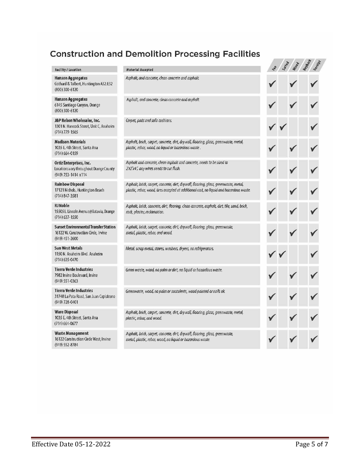### **Construction and Demolition Processing Facilities**

| Facility / Location                                                                                        | <b>Material Accepted</b>                                                                                                                                                        |  |  |
|------------------------------------------------------------------------------------------------------------|---------------------------------------------------------------------------------------------------------------------------------------------------------------------------------|--|--|
| Hanson Aggregates<br>Gothard & Talbert, Huntington A32:E32<br>(800) 300-6120                               | Asphalt, and concrete, clean concrete and asphalt.                                                                                                                              |  |  |
| <b>Hanson Aggregates</b><br>6145 Santiago Canyon, Orange<br>(800) 300-6120                                 | Asphalt, and concrete, clean concrete and asphalt.                                                                                                                              |  |  |
| J&P Rebon Wholesaler, Inc.<br>1301 N. Hancock Street, Unit C, Anaheim<br>$(714)$ 779-1565                  | Carpet, pads and sofa cushions.                                                                                                                                                 |  |  |
| <b>Madison Materials</b><br>1035 E. 4th Street, Santa Ana<br>$(714)$ 664-0159                              | Asphalt, brick, carpet, concrete, dirt, drywall, flooring, glass, greenwaste, metal,<br>plastic, rebar, wood, no liquid or hazardous waste.                                     |  |  |
| Ortiz Enterprises, Inc.<br>Locations vary throughout Orange County<br>(949) 753-1414 x114                  | Asphalt and concrete, clean asphalt and concrete, needs to be sized to<br>2'x2'x4', any wires needs to cut flush.                                                               |  |  |
| <b>Rainbow Disposal</b><br>17121 Nichols, Huntington Beach<br>$(714) 847 - 3581$                           | Asphalt, brick, carpet, concrete, dirt, drywall, flooring, glass, greenwaste, metal,<br>plastic, rebar, wood, tires accepted at additional cost, no liquid and hazardous waste. |  |  |
| <b>RJ</b> Noble<br>15505 E. Lincoln Avenue@Batavia, Orange<br>$(714)$ 637-1550                             | Asphalt, brick, concrete, dirt, flooring, clean concrete, asphalt, dirt, tile, sand, brick,<br>rock, plaster, reclamation.                                                      |  |  |
| <b>Sunset Environmental Transfer Station</b><br>16122 W. Construction Circle, Irvine<br>(949) 451-2600     | Asphalt, brick, carpet, concrete, dirt, drywall, flooring, glass, greenwaste,<br>metal, plastic, rebar, and wood.                                                               |  |  |
| <b>Sun West Metals</b><br>1150 N. Anaheim Blvd. Anaheim<br>(714) 635-0470                                  | Metal, scrap metal, stoves, washers, dryers, no refrigerators.                                                                                                                  |  |  |
| <b>Tierra Verde Industries</b><br>7982 Irvine Boulevard, Irvine<br>(949) 551-0363                          | Green waste, wood, no palm or dirt, no liquid or hazardous waste.                                                                                                               |  |  |
| <b>Tierra Verde Industries</b><br>31748 La Pata Road, San Juan Capistrano<br>(949) 728-0401                | Greenwaste, wood, no palm or succulents, wood painted or nails ok                                                                                                               |  |  |
| <b>Ware Disposal</b><br>1035 E. 4th Street, Santa Ana<br>(714)6640677                                      | Asphalt, brick, carpet, concrete, dirt, drywall, flooring, glass, greenwaste, metal,<br>plastic, rebar, and wood.                                                               |  |  |
| Waste Management<br>16122 Construction Circle West, Irvine<br>$(0.10)$ $\Gamma$ $\Gamma$ $1.070$ $\Lambda$ | Asphalt, brick, carpet, concrete, dirt, drywall, flooring, glass, greenwaste,<br>metal, plastic, rebar, wood, no liquid or hazardous waste.                                     |  |  |

16122 Construction (949) 552-8784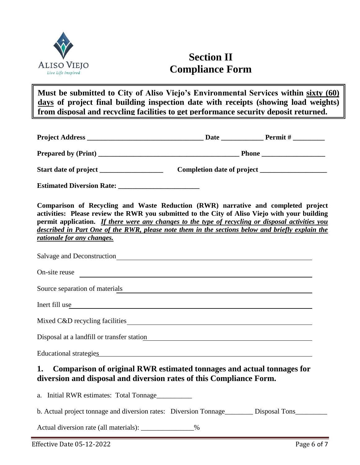

# **Section II Compliance Form**

**Must be submitted to City of Aliso Viejo's Environmental Services within sixty (60) days of project final building inspection date with receipts (showing load weights) from disposal and recycling facilities to get performance security deposit returned.**

| Comparison of Recycling and Waste Reduction (RWR) narrative and completed project<br>activities: Please review the RWR you submitted to the City of Aliso Viejo with your building<br>permit application. If there were any changes to the type of recycling or disposal activities you<br>described in Part One of the RWR, please note them in the sections below and briefly explain the<br>rationale for any changes. |                                                                                                                      |  |
|---------------------------------------------------------------------------------------------------------------------------------------------------------------------------------------------------------------------------------------------------------------------------------------------------------------------------------------------------------------------------------------------------------------------------|----------------------------------------------------------------------------------------------------------------------|--|
| Salvage and Deconstruction<br><u>Salvage and Deconstruction</u>                                                                                                                                                                                                                                                                                                                                                           |                                                                                                                      |  |
| On-site reuse<br><u> 1989 - Johann John Stone, markin film ar yn y brenin y brenin y brenin y brenin y brenin y brenin y brenin y</u>                                                                                                                                                                                                                                                                                     |                                                                                                                      |  |
| Source separation of materials                                                                                                                                                                                                                                                                                                                                                                                            | <u> 1989 - Andrea Santa Andrea Andrea Santa Andrea Andrea Andrea Andrea Andrea Andrea Andrea Andrea Andrea Andre</u> |  |
| Inert fill use                                                                                                                                                                                                                                                                                                                                                                                                            |                                                                                                                      |  |
|                                                                                                                                                                                                                                                                                                                                                                                                                           |                                                                                                                      |  |
| Disposal at a landfill or transfer station example of the station of the station of the station of the station                                                                                                                                                                                                                                                                                                            |                                                                                                                      |  |
| Educational strategies experience and the strategies of the strategies of the strategies of the strategies of the strategies of the strategies of the strategies of the strategies of the strategies of the strategies of the                                                                                                                                                                                             |                                                                                                                      |  |
| Comparison of original RWR estimated tonnages and actual tonnages for<br>1.<br>diversion and disposal and diversion rates of this Compliance Form.                                                                                                                                                                                                                                                                        |                                                                                                                      |  |
| a. Initial RWR estimates: Total Tonnage                                                                                                                                                                                                                                                                                                                                                                                   |                                                                                                                      |  |
| b. Actual project tonnage and diversion rates: Diversion Tonnage________ Disposal Tons_________                                                                                                                                                                                                                                                                                                                           |                                                                                                                      |  |
| Actual diversion rate (all materials): ______________%                                                                                                                                                                                                                                                                                                                                                                    |                                                                                                                      |  |